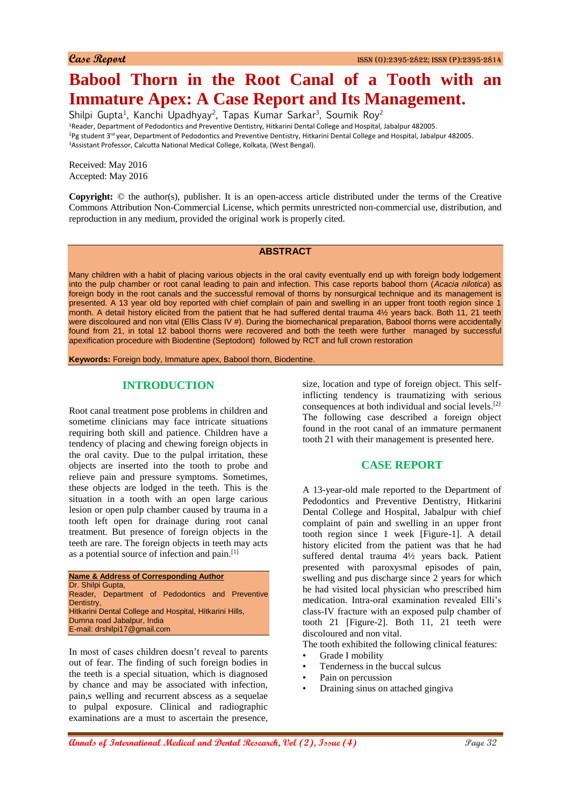# **Babool Thorn in the Root Canal of a Tooth with an Immature Apex: A Case Report and Its Management.**

Shilpi Gupta<sup>1</sup>, Kanchi Upadhyay<sup>2</sup>, Tapas Kumar Sarkar<sup>3</sup>, Soumik Roy<sup>2</sup> <sup>1</sup>Reader, Department of Pedodontics and Preventive Dentistry, Hitkarini Dental College and Hospital, Jabalpur 482005. <sup>2</sup>Pg student 3<sup>rd</sup> year, Department of Pedodontics and Preventive Dentistry, Hitkarini Dental College and Hospital, Jabalpur 482005. <sup>3</sup>Assistant Professor, Calcutta National Medical College, Kolkata, (West Bengal).

Received: May 2016 Accepted: May 2016

**Copyright:** © the author(s), publisher. It is an open-access article distributed under the terms of the Creative Commons Attribution Non-Commercial License, which permits unrestricted non-commercial use, distribution, and reproduction in any medium, provided the original work is properly cited.

#### **ABSTRACT**

Many children with a habit of placing various objects in the oral cavity eventually end up with foreign body lodgement into the pulp chamber or root canal leading to pain and infection. This case reports babool thorn (*Acacia nilotica*) as foreign body in the root canals and the successful removal of thorns by nonsurgical technique and its management is presented. A 13 year old boy reported with chief complain of pain and swelling in an upper front tooth region since 1 month. A detail history elicited from the patient that he had suffered dental trauma 4½ years back. Both 11, 21 teeth were discoloured and non vital (Ellis Class IV #). During the biomechanical preparation, Babool thorns were accidentally found from 21, in total 12 babool thorns were recovered and both the teeth were further managed by successful apexification procedure with Biodentine (Septodont) followed by RCT and full crown restoration

**Keywords:** Foreign body, Immature apex, Babool thorn, Biodentine.

## **INTRODUCTION**

Root canal treatment pose problems in children and sometime clinicians may face intricate situations requiring both skill and patience. Children have a tendency of placing and chewing foreign objects in the oral cavity. Due to the pulpal irritation, these objects are inserted into the tooth to probe and relieve pain and pressure symptoms. Sometimes, these objects are lodged in the teeth. This is the situation in a tooth with an open large carious lesion or open pulp chamber caused by trauma in a tooth left open for drainage during root canal treatment. But presence of foreign objects in the teeth are rare. The foreign objects in teeth may acts as a potential source of infection and pain.[1]

**Name & Address of Corresponding Author** Dr. Shilpi Gupta, Reader, Department of Pedodontics and Preventive **Dentistry** Hitkarini Dental College and Hospital, Hitkarini Hills, Dumna road Jabalpur, India E-mail: drshilpi17@gmail.com

In most of cases children doesn't reveal to parents out of fear. The finding of such foreign bodies in the teeth is a special situation, which is diagnosed by chance and may be associated with infection, pain,s welling and recurrent abscess as a sequelae to pulpal exposure. Clinical and radiographic examinations are a must to ascertain the presence, size, location and type of foreign object. This selfinflicting tendency is traumatizing with serious consequences at both individual and social levels.[2] The following case described a foreign object found in the root canal of an immature permanent tooth 21 with their management is presented here.

#### **CASE REPORT**

A 13-year-old male reported to the Department of Pedodontics and Preventive Dentistry, Hitkarini Dental College and Hospital, Jabalpur with chief complaint of pain and swelling in an upper front tooth region since 1 week [Figure-1]. A detail history elicited from the patient was that he had suffered dental trauma 4½ years back. Patient presented with paroxysmal episodes of pain, swelling and pus discharge since 2 years for which he had visited local physician who prescribed him medication. Intra-oral examination revealed Elli's class-IV fracture with an exposed pulp chamber of tooth 21 [Figure-2]. Both 11, 21 teeth were discoloured and non vital.

The tooth exhibited the following clinical features:

- Grade I mobility
- Tenderness in the buccal sulcus
- Pain on percussion
- Draining sinus on attached gingiva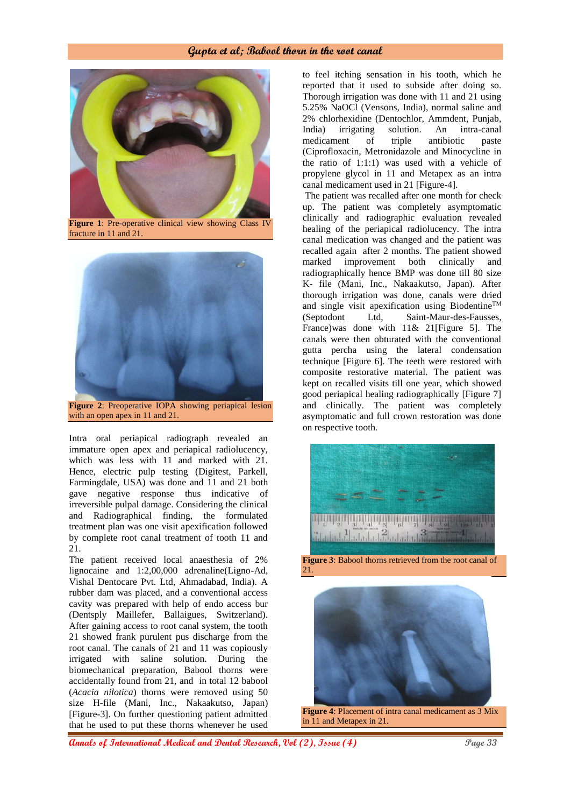#### **Gupta et al; Babool thorn in the root canal**



**Figure 1**: Pre-operative clinical view showing Class IV fracture in 11 and 21.



**Figure 2**: Preoperative IOPA showing periapical lesion with an open apex in 11 and 21.

Intra oral periapical radiograph revealed an immature open apex and periapical radiolucency, which was less with 11 and marked with 21. Hence, electric pulp testing (Digitest, Parkell, Farmingdale, USA) was done and 11 and 21 both gave negative response thus indicative of irreversible pulpal damage. Considering the clinical and Radiographical finding, the formulated treatment plan was one visit apexification followed by complete root canal treatment of tooth 11 and 21.

The patient received local anaesthesia of 2% lignocaine and 1:2,00,000 adrenaline(Ligno-Ad, Vishal Dentocare Pvt. Ltd, Ahmadabad, India). A rubber dam was placed, and a conventional access cavity was prepared with help of endo access bur (Dentsply Maillefer, Ballaigues, Switzerland). After gaining access to root canal system, the tooth 21 showed frank purulent pus discharge from the root canal. The canals of 21 and 11 was copiously irrigated with saline solution. During the biomechanical preparation, Babool thorns were accidentally found from 21, and in total 12 babool (*Acacia nilotica*) thorns were removed using 50 size H-file (Mani, Inc., Nakaakutso, Japan) [Figure-3]. On further questioning patient admitted that he used to put these thorns whenever he used

to feel itching sensation in his tooth, which he reported that it used to subside after doing so. Thorough irrigation was done with 11 and 21 using 5.25% NaOCl (Vensons, India), normal saline and 2% chlorhexidine (Dentochlor, Ammdent, Punjab, India) irrigating solution. An intra-canal medicament of triple antibiotic paste (Ciprofloxacin, Metronidazole and Minocycline in the ratio of 1:1:1) was used with a vehicle of propylene glycol in 11 and Metapex as an intra canal medicament used in 21 [Figure-4].

The patient was recalled after one month for check up. The patient was completely asymptomatic clinically and radiographic evaluation revealed healing of the periapical radiolucency. The intra canal medication was changed and the patient was recalled again after 2 months. The patient showed marked improvement both clinically and radiographically hence BMP was done till 80 size K- file (Mani, Inc., Nakaakutso, Japan). After thorough irrigation was done, canals were dried and single visit apexification using Biodentine™ (Septodont Ltd, Saint-Maur-des-Fausses, France)was done with 11& 21[Figure 5]. The canals were then obturated with the conventional gutta percha using the lateral condensation technique [Figure 6]. The teeth were restored with composite restorative material. The patient was kept on recalled visits till one year, which showed good periapical healing radiographically [Figure 7] and clinically. The patient was completely asymptomatic and full crown restoration was done on respective tooth.



**Figure 3**: Babool thorns retrieved from the root canal of 21.



**Figure 4**: Placement of intra canal medicament as 3 Mix in 11 and Metapex in 21.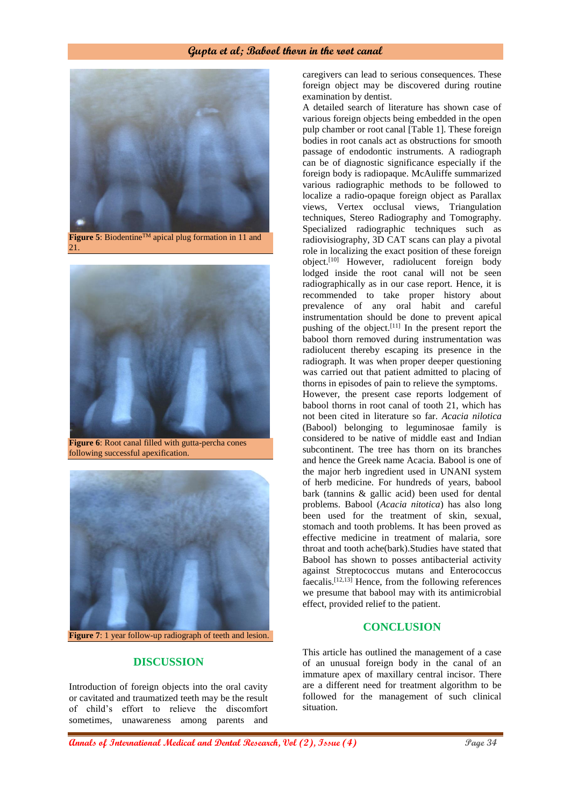## **Gupta et al; Babool thorn in the root canal**



**Figure 5**: Biodentine<sup>TM</sup> apical plug formation in 11 and 21.



**Figure 6**: Root canal filled with gutta-percha cones following successful apexification.



#### **DISCUSSION**

Introduction of foreign objects into the oral cavity or cavitated and traumatized teeth may be the result of child's effort to relieve the discomfort sometimes, unawareness among parents and

caregivers can lead to serious consequences. These foreign object may be discovered during routine examination by dentist.

A detailed search of literature has shown case of various foreign objects being embedded in the open pulp chamber or root canal [Table 1]. These foreign bodies in root canals act as obstructions for smooth passage of endodontic instruments. A radiograph can be of diagnostic significance especially if the foreign body is radiopaque. McAuliffe summarized various radiographic methods to be followed to localize a radio-opaque foreign object as Parallax views, Vertex occlusal views, Triangulation techniques, Stereo Radiography and Tomography. Specialized radiographic techniques such as radiovisiography, 3D CAT scans can play a pivotal role in localizing the exact position of these foreign object.[10] However, radiolucent foreign body lodged inside the root canal will not be seen radiographically as in our case report. Hence, it is recommended to take proper history about prevalence of any oral habit and careful instrumentation should be done to prevent apical pushing of the object. $[11]$  In the present report the babool thorn removed during instrumentation was radiolucent thereby escaping its presence in the radiograph. It was when proper deeper questioning was carried out that patient admitted to placing of thorns in episodes of pain to relieve the symptoms. However, the present case reports lodgement of babool thorns in root canal of tooth 21, which has not been cited in literature so far. *Acacia nilotica* (Babool) belonging to leguminosae family is considered to be native of middle east and Indian subcontinent. The tree has thorn on its branches and hence the Greek name Acacia. Babool is one of the major herb ingredient used in UNANI system of herb medicine. For hundreds of years, babool bark (tannins & gallic acid) been used for dental problems. Babool (*Acacia nitotica*) has also long been used for the treatment of skin, sexual, stomach and tooth problems. It has been proved as effective medicine in treatment of malaria, sore throat and tooth ache(bark).Studies have stated that Babool has shown to posses antibacterial activity against Streptococcus mutans and Enterococcus faecalis.[12,13] Hence, from the following references we presume that babool may with its antimicrobial effect, provided relief to the patient.

## **CONCLUSION**

This article has outlined the management of a case of an unusual foreign body in the canal of an immature apex of maxillary central incisor. There are a different need for treatment algorithm to be followed for the management of such clinical situation.